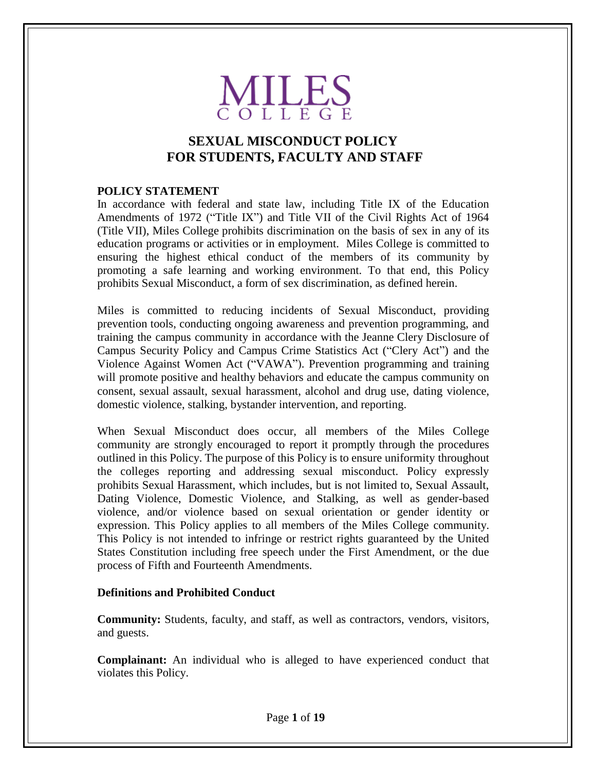

# **SEXUAL MISCONDUCT POLICY FOR STUDENTS, FACULTY AND STAFF**

#### **POLICY STATEMENT**

In accordance with federal and state law, including Title IX of the Education Amendments of 1972 ("Title IX") and Title VII of the Civil Rights Act of 1964 (Title VII), Miles College prohibits discrimination on the basis of sex in any of its education programs or activities or in employment. Miles College is committed to ensuring the highest ethical conduct of the members of its community by promoting a safe learning and working environment. To that end, this Policy prohibits Sexual Misconduct, a form of sex discrimination, as defined herein.

Miles is committed to reducing incidents of Sexual Misconduct, providing prevention tools, conducting ongoing awareness and prevention programming, and training the campus community in accordance with the Jeanne Clery Disclosure of Campus Security Policy and Campus Crime Statistics Act ("Clery Act") and the Violence Against Women Act ("VAWA"). Prevention programming and training will promote positive and healthy behaviors and educate the campus community on consent, sexual assault, sexual harassment, alcohol and drug use, dating violence, domestic violence, stalking, bystander intervention, and reporting.

When Sexual Misconduct does occur, all members of the Miles College community are strongly encouraged to report it promptly through the procedures outlined in this Policy. The purpose of this Policy is to ensure uniformity throughout the colleges reporting and addressing sexual misconduct. Policy expressly prohibits Sexual Harassment, which includes, but is not limited to, Sexual Assault, Dating Violence, Domestic Violence, and Stalking, as well as gender-based violence, and/or violence based on sexual orientation or gender identity or expression. This Policy applies to all members of the Miles College community. This Policy is not intended to infringe or restrict rights guaranteed by the United States Constitution including free speech under the First Amendment, or the due process of Fifth and Fourteenth Amendments.

#### **Definitions and Prohibited Conduct**

**Community:** Students, faculty, and staff, as well as contractors, vendors, visitors, and guests.

**Complainant:** An individual who is alleged to have experienced conduct that violates this Policy.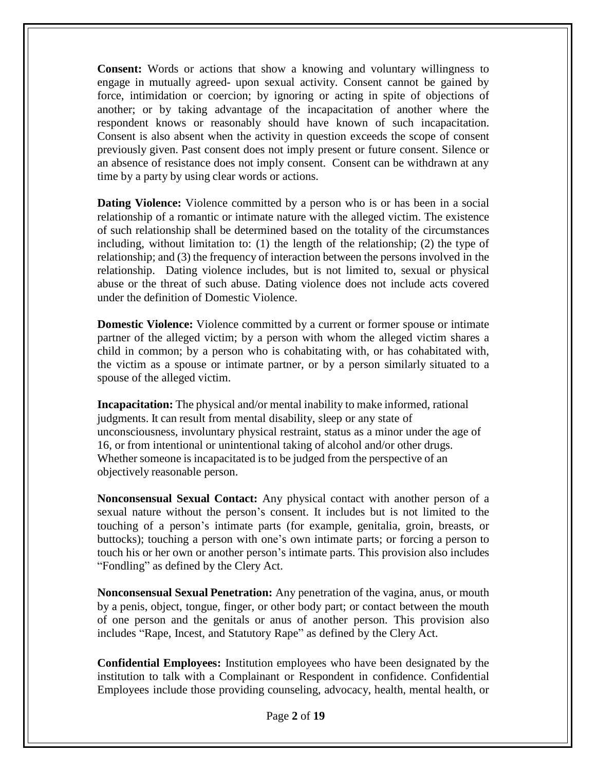**Consent:** Words or actions that show a knowing and voluntary willingness to engage in mutually agreed- upon sexual activity. Consent cannot be gained by force, intimidation or coercion; by ignoring or acting in spite of objections of another; or by taking advantage of the incapacitation of another where the respondent knows or reasonably should have known of such incapacitation. Consent is also absent when the activity in question exceeds the scope of consent previously given. Past consent does not imply present or future consent. Silence or an absence of resistance does not imply consent. Consent can be withdrawn at any time by a party by using clear words or actions.

**Dating Violence:** Violence committed by a person who is or has been in a social relationship of a romantic or intimate nature with the alleged victim. The existence of such relationship shall be determined based on the totality of the circumstances including, without limitation to: (1) the length of the relationship; (2) the type of relationship; and (3) the frequency of interaction between the persons involved in the relationship. Dating violence includes, but is not limited to, sexual or physical abuse or the threat of such abuse. Dating violence does not include acts covered under the definition of Domestic Violence.

**Domestic Violence:** Violence committed by a current or former spouse or intimate partner of the alleged victim; by a person with whom the alleged victim shares a child in common; by a person who is cohabitating with, or has cohabitated with, the victim as a spouse or intimate partner, or by a person similarly situated to a spouse of the alleged victim.

**Incapacitation:** The physical and/or mental inability to make informed, rational judgments. It can result from mental disability, sleep or any state of unconsciousness, involuntary physical restraint, status as a minor under the age of 16, or from intentional or unintentional taking of alcohol and/or other drugs. Whether someone is incapacitated is to be judged from the perspective of an objectively reasonable person.

**Nonconsensual Sexual Contact:** Any physical contact with another person of a sexual nature without the person's consent. It includes but is not limited to the touching of a person's intimate parts (for example, genitalia, groin, breasts, or buttocks); touching a person with one's own intimate parts; or forcing a person to touch his or her own or another person's intimate parts. This provision also includes "Fondling" as defined by the Clery Act.

**Nonconsensual Sexual Penetration:** Any penetration of the vagina, anus, or mouth by a penis, object, tongue, finger, or other body part; or contact between the mouth of one person and the genitals or anus of another person. This provision also includes "Rape, Incest, and Statutory Rape" as defined by the Clery Act.

**Confidential Employees:** Institution employees who have been designated by the institution to talk with a Complainant or Respondent in confidence. Confidential Employees include those providing counseling, advocacy, health, mental health, or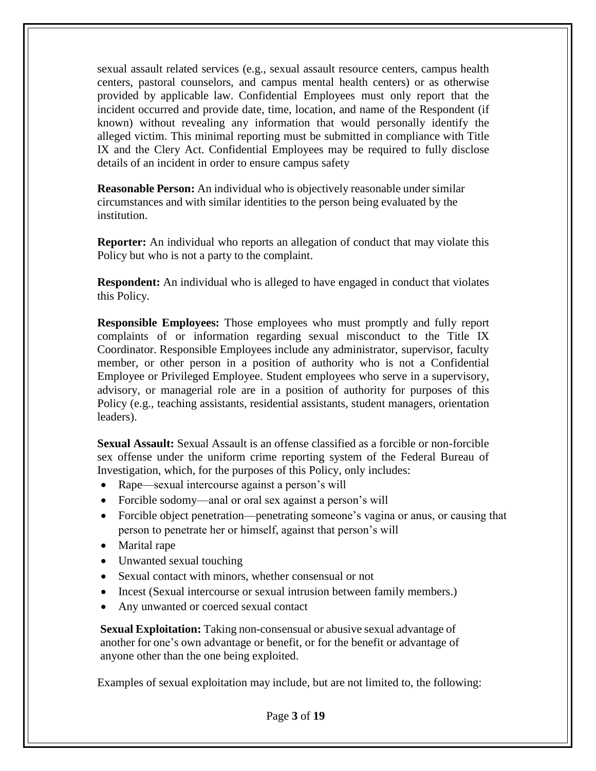sexual assault related services (e.g., sexual assault resource centers, campus health centers, pastoral counselors, and campus mental health centers) or as otherwise provided by applicable law. Confidential Employees must only report that the incident occurred and provide date, time, location, and name of the Respondent (if known) without revealing any information that would personally identify the alleged victim. This minimal reporting must be submitted in compliance with Title IX and the Clery Act. Confidential Employees may be required to fully disclose details of an incident in order to ensure campus safety

**Reasonable Person:** An individual who is objectively reasonable under similar circumstances and with similar identities to the person being evaluated by the institution.

**Reporter:** An individual who reports an allegation of conduct that may violate this Policy but who is not a party to the complaint.

**Respondent:** An individual who is alleged to have engaged in conduct that violates this Policy.

**Responsible Employees:** Those employees who must promptly and fully report complaints of or information regarding sexual misconduct to the Title IX Coordinator. Responsible Employees include any administrator, supervisor, faculty member, or other person in a position of authority who is not a Confidential Employee or Privileged Employee. Student employees who serve in a supervisory, advisory, or managerial role are in a position of authority for purposes of this Policy (e.g., teaching assistants, residential assistants, student managers, orientation leaders).

**Sexual Assault:** Sexual Assault is an offense classified as a forcible or non-forcible sex offense under the uniform crime reporting system of the Federal Bureau of Investigation, which, for the purposes of this Policy, only includes:

- Rape—sexual intercourse against a person's will
- Forcible sodomy—anal or oral sex against a person's will
- Forcible object penetration—penetrating someone's vagina or anus, or causing that person to penetrate her or himself, against that person's will
- Marital rape
- Unwanted sexual touching
- Sexual contact with minors, whether consensual or not
- Incest (Sexual intercourse or sexual intrusion between family members.)
- Any unwanted or coerced sexual contact

**Sexual Exploitation:** Taking non-consensual or abusive sexual advantage of another for one's own advantage or benefit, or for the benefit or advantage of anyone other than the one being exploited.

Examples of sexual exploitation may include, but are not limited to, the following: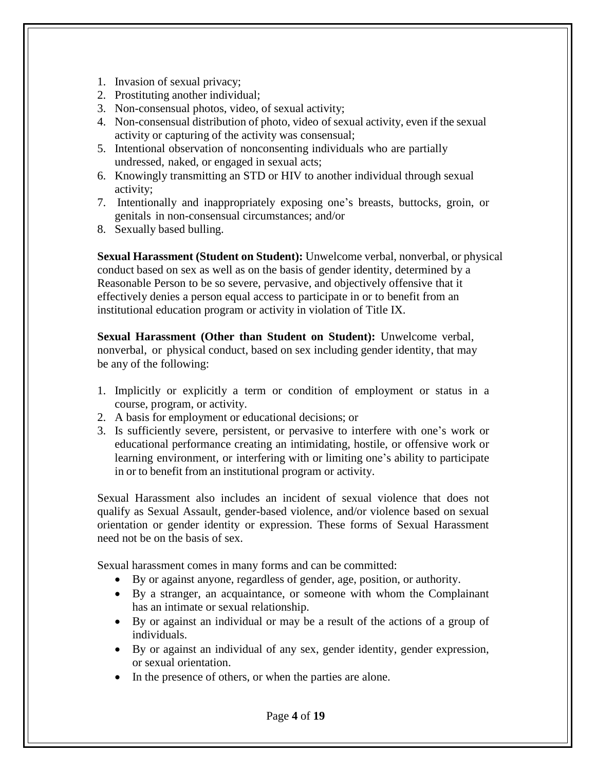- 1. Invasion of sexual privacy;
- 2. Prostituting another individual;
- 3. Non-consensual photos, video, of sexual activity;
- 4. Non-consensual distribution of photo, video of sexual activity, even if the sexual activity or capturing of the activity was consensual;
- 5. Intentional observation of nonconsenting individuals who are partially undressed, naked, or engaged in sexual acts;
- 6. Knowingly transmitting an STD or HIV to another individual through sexual activity;
- 7. Intentionally and inappropriately exposing one's breasts, buttocks, groin, or genitals in non-consensual circumstances; and/or
- 8. Sexually based bulling.

**Sexual Harassment (Student on Student):** Unwelcome verbal, nonverbal, or physical conduct based on sex as well as on the basis of gender identity, determined by a Reasonable Person to be so severe, pervasive, and objectively offensive that it effectively denies a person equal access to participate in or to benefit from an institutional education program or activity in violation of Title IX.

**Sexual Harassment (Other than Student on Student):** Unwelcome verbal, nonverbal, or physical conduct, based on sex including gender identity, that may be any of the following:

- 1. Implicitly or explicitly a term or condition of employment or status in a course, program, or activity.
- 2. A basis for employment or educational decisions; or
- 3. Is sufficiently severe, persistent, or pervasive to interfere with one's work or educational performance creating an intimidating, hostile, or offensive work or learning environment, or interfering with or limiting one's ability to participate in or to benefit from an institutional program or activity.

Sexual Harassment also includes an incident of sexual violence that does not qualify as Sexual Assault, gender-based violence, and/or violence based on sexual orientation or gender identity or expression. These forms of Sexual Harassment need not be on the basis of sex.

Sexual harassment comes in many forms and can be committed:

- By or against anyone, regardless of gender, age, position, or authority.
- By a stranger, an acquaintance, or someone with whom the Complainant has an intimate or sexual relationship.
- By or against an individual or may be a result of the actions of a group of individuals.
- By or against an individual of any sex, gender identity, gender expression, or sexual orientation.
- In the presence of others, or when the parties are alone.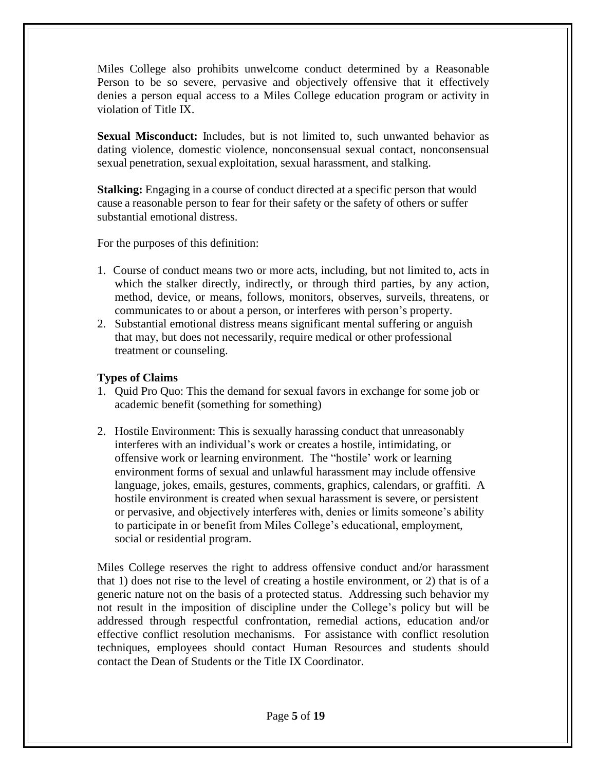Miles College also prohibits unwelcome conduct determined by a Reasonable Person to be so severe, pervasive and objectively offensive that it effectively denies a person equal access to a Miles College education program or activity in violation of Title IX.

**Sexual Misconduct:** Includes, but is not limited to, such unwanted behavior as dating violence, domestic violence, nonconsensual sexual contact, nonconsensual sexual penetration, sexual exploitation, sexual harassment, and stalking.

**Stalking:** Engaging in a course of conduct directed at a specific person that would cause a reasonable person to fear for their safety or the safety of others or suffer substantial emotional distress.

For the purposes of this definition:

- 1. Course of conduct means two or more acts, including, but not limited to, acts in which the stalker directly, indirectly, or through third parties, by any action, method, device, or means, follows, monitors, observes, surveils, threatens, or communicates to or about a person, or interferes with person's property.
- 2. Substantial emotional distress means significant mental suffering or anguish that may, but does not necessarily, require medical or other professional treatment or counseling.

# **Types of Claims**

- 1. Quid Pro Quo: This the demand for sexual favors in exchange for some job or academic benefit (something for something)
- 2. Hostile Environment: This is sexually harassing conduct that unreasonably interferes with an individual's work or creates a hostile, intimidating, or offensive work or learning environment. The "hostile' work or learning environment forms of sexual and unlawful harassment may include offensive language, jokes, emails, gestures, comments, graphics, calendars, or graffiti. A hostile environment is created when sexual harassment is severe, or persistent or pervasive, and objectively interferes with, denies or limits someone's ability to participate in or benefit from Miles College's educational, employment, social or residential program.

Miles College reserves the right to address offensive conduct and/or harassment that 1) does not rise to the level of creating a hostile environment, or 2) that is of a generic nature not on the basis of a protected status. Addressing such behavior my not result in the imposition of discipline under the College's policy but will be addressed through respectful confrontation, remedial actions, education and/or effective conflict resolution mechanisms. For assistance with conflict resolution techniques, employees should contact Human Resources and students should contact the Dean of Students or the Title IX Coordinator.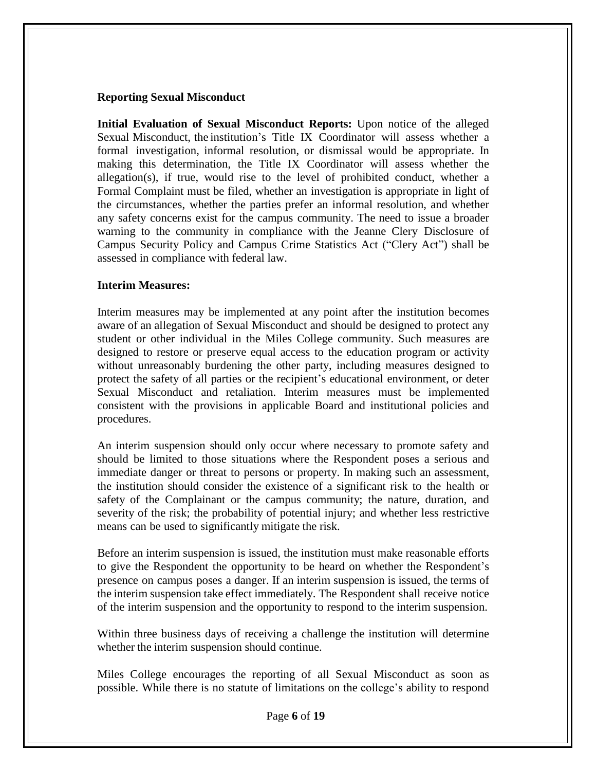#### **Reporting Sexual Misconduct**

**Initial Evaluation of Sexual Misconduct Reports:** Upon notice of the alleged Sexual Misconduct, the institution's Title IX Coordinator will assess whether a formal investigation, informal resolution, or dismissal would be appropriate. In making this determination, the Title IX Coordinator will assess whether the allegation(s), if true, would rise to the level of prohibited conduct, whether a Formal Complaint must be filed, whether an investigation is appropriate in light of the circumstances, whether the parties prefer an informal resolution, and whether any safety concerns exist for the campus community. The need to issue a broader warning to the community in compliance with the Jeanne Clery Disclosure of Campus Security Policy and Campus Crime Statistics Act ("Clery Act") shall be assessed in compliance with federal law.

#### **Interim Measures:**

Interim measures may be implemented at any point after the institution becomes aware of an allegation of Sexual Misconduct and should be designed to protect any student or other individual in the Miles College community. Such measures are designed to restore or preserve equal access to the education program or activity without unreasonably burdening the other party, including measures designed to protect the safety of all parties or the recipient's educational environment, or deter Sexual Misconduct and retaliation. Interim measures must be implemented consistent with the provisions in applicable Board and institutional policies and procedures.

An interim suspension should only occur where necessary to promote safety and should be limited to those situations where the Respondent poses a serious and immediate danger or threat to persons or property. In making such an assessment, the institution should consider the existence of a significant risk to the health or safety of the Complainant or the campus community; the nature, duration, and severity of the risk; the probability of potential injury; and whether less restrictive means can be used to significantly mitigate the risk.

Before an interim suspension is issued, the institution must make reasonable efforts to give the Respondent the opportunity to be heard on whether the Respondent's presence on campus poses a danger. If an interim suspension is issued, the terms of the interim suspension take effect immediately. The Respondent shall receive notice of the interim suspension and the opportunity to respond to the interim suspension.

Within three business days of receiving a challenge the institution will determine whether the interim suspension should continue.

Miles College encourages the reporting of all Sexual Misconduct as soon as possible. While there is no statute of limitations on the college's ability to respond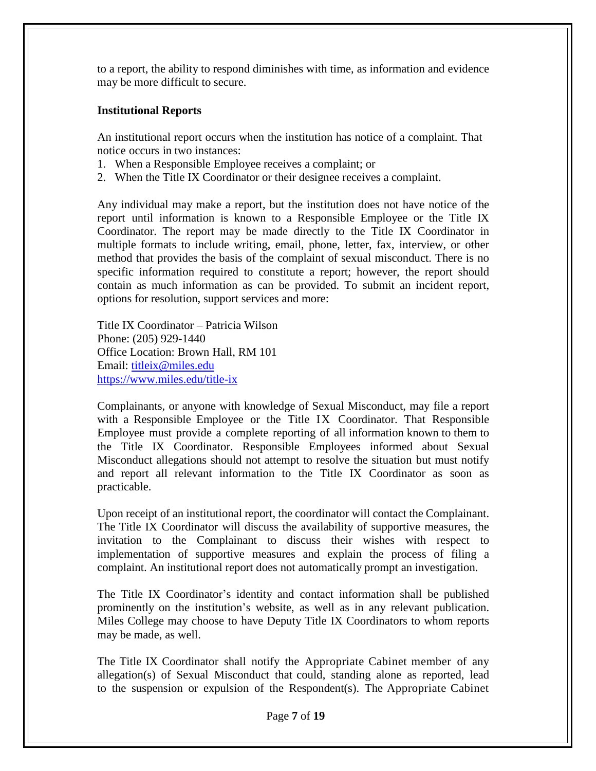to a report, the ability to respond diminishes with time, as information and evidence may be more difficult to secure.

### **Institutional Reports**

An institutional report occurs when the institution has notice of a complaint. That notice occurs in two instances:

- 1. When a Responsible Employee receives a complaint; or
- 2. When the Title IX Coordinator or their designee receives a complaint.

Any individual may make a report, but the institution does not have notice of the report until information is known to a Responsible Employee or the Title IX Coordinator. The report may be made directly to the Title IX Coordinator in multiple formats to include writing, email, phone, letter, fax, interview, or other method that provides the basis of the complaint of sexual misconduct. There is no specific information required to constitute a report; however, the report should contain as much information as can be provided. To submit an incident report, options for resolution, support services and more:

Title IX Coordinator – Patricia Wilson Phone: (205) 929-1440 Office Location: Brown Hall, RM 101 Email: [titleix@miles.edu](mailto:titleix@miles.edu) <https://www.miles.edu/title-ix>

Complainants, or anyone with knowledge of Sexual Misconduct, may file a report with a Responsible Employee or the Title IX Coordinator. That Responsible Employee must provide a complete reporting of all information known to them to the Title IX Coordinator. Responsible Employees informed about Sexual Misconduct allegations should not attempt to resolve the situation but must notify and report all relevant information to the Title IX Coordinator as soon as practicable.

Upon receipt of an institutional report, the coordinator will contact the Complainant. The Title IX Coordinator will discuss the availability of supportive measures, the invitation to the Complainant to discuss their wishes with respect to implementation of supportive measures and explain the process of filing a complaint. An institutional report does not automatically prompt an investigation.

The Title IX Coordinator's identity and contact information shall be published prominently on the institution's website, as well as in any relevant publication. Miles College may choose to have Deputy Title IX Coordinators to whom reports may be made, as well.

The Title IX Coordinator shall notify the Appropriate Cabinet member of any allegation(s) of Sexual Misconduct that could, standing alone as reported, lead to the suspension or expulsion of the Respondent(s). The Appropriate Cabinet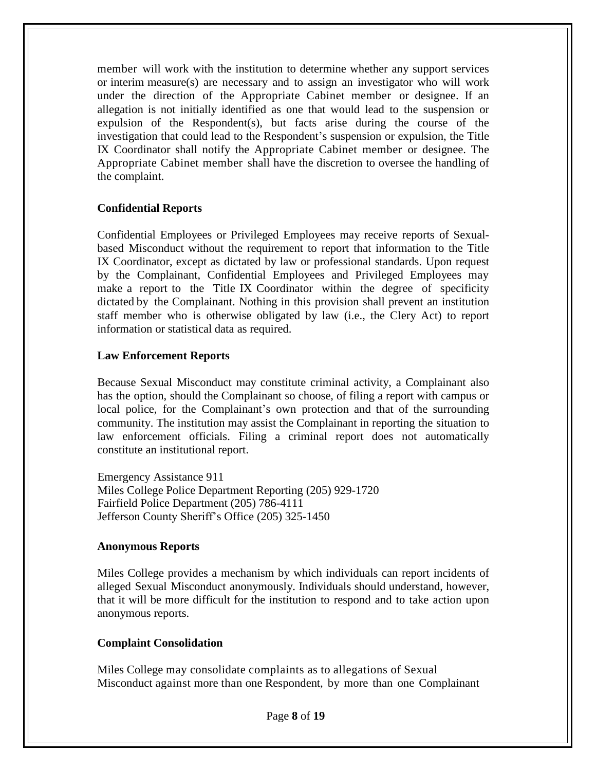member will work with the institution to determine whether any support services or interim measure(s) are necessary and to assign an investigator who will work under the direction of the Appropriate Cabinet member or designee. If an allegation is not initially identified as one that would lead to the suspension or expulsion of the Respondent(s), but facts arise during the course of the investigation that could lead to the Respondent's suspension or expulsion, the Title IX Coordinator shall notify the Appropriate Cabinet member or designee. The Appropriate Cabinet member shall have the discretion to oversee the handling of the complaint.

#### **Confidential Reports**

Confidential Employees or Privileged Employees may receive reports of Sexualbased Misconduct without the requirement to report that information to the Title IX Coordinator, except as dictated by law or professional standards. Upon request by the Complainant, Confidential Employees and Privileged Employees may make a report to the Title IX Coordinator within the degree of specificity dictated by the Complainant. Nothing in this provision shall prevent an institution staff member who is otherwise obligated by law (i.e., the Clery Act) to report information or statistical data as required.

#### **Law Enforcement Reports**

Because Sexual Misconduct may constitute criminal activity, a Complainant also has the option, should the Complainant so choose, of filing a report with campus or local police, for the Complainant's own protection and that of the surrounding community. The institution may assist the Complainant in reporting the situation to law enforcement officials. Filing a criminal report does not automatically constitute an institutional report.

Emergency Assistance 911 Miles College Police Department Reporting (205) 929-1720 Fairfield Police Department (205) 786-4111 Jefferson County Sheriff's Office (205) 325-1450

#### **Anonymous Reports**

Miles College provides a mechanism by which individuals can report incidents of alleged Sexual Misconduct anonymously. Individuals should understand, however, that it will be more difficult for the institution to respond and to take action upon anonymous reports.

#### **Complaint Consolidation**

Miles College may consolidate complaints as to allegations of Sexual Misconduct against more than one Respondent, by more than one Complainant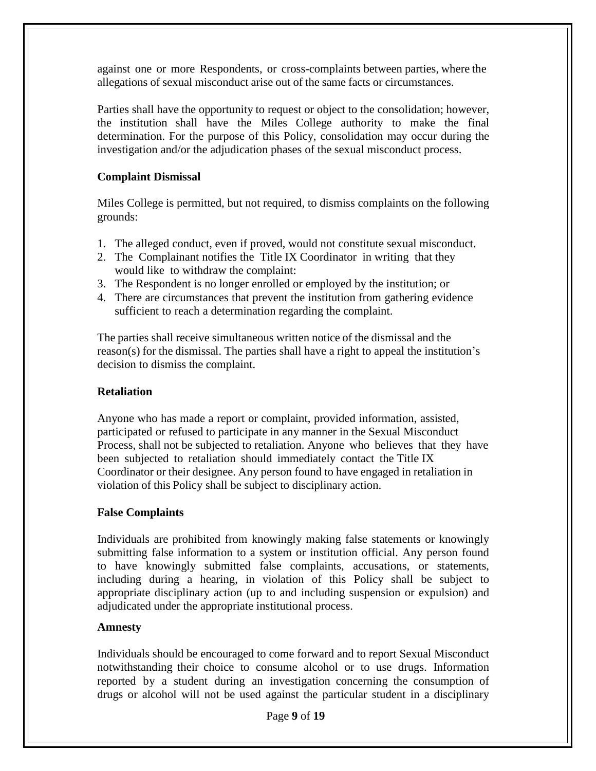against one or more Respondents, or cross-complaints between parties, where the allegations of sexual misconduct arise out of the same facts or circumstances.

Parties shall have the opportunity to request or object to the consolidation; however, the institution shall have the Miles College authority to make the final determination. For the purpose of this Policy, consolidation may occur during the investigation and/or the adjudication phases of the sexual misconduct process.

### **Complaint Dismissal**

Miles College is permitted, but not required, to dismiss complaints on the following grounds:

- 1. The alleged conduct, even if proved, would not constitute sexual misconduct.
- 2. The Complainant notifies the Title IX Coordinator in writing that they would like to withdraw the complaint:
- 3. The Respondent is no longer enrolled or employed by the institution; or
- 4. There are circumstances that prevent the institution from gathering evidence sufficient to reach a determination regarding the complaint.

The parties shall receive simultaneous written notice of the dismissal and the reason(s) for the dismissal. The parties shall have a right to appeal the institution's decision to dismiss the complaint.

### **Retaliation**

Anyone who has made a report or complaint, provided information, assisted, participated or refused to participate in any manner in the Sexual Misconduct Process, shall not be subjected to retaliation. Anyone who believes that they have been subjected to retaliation should immediately contact the Title IX Coordinator or their designee. Any person found to have engaged in retaliation in violation of this Policy shall be subject to disciplinary action.

### **False Complaints**

Individuals are prohibited from knowingly making false statements or knowingly submitting false information to a system or institution official. Any person found to have knowingly submitted false complaints, accusations, or statements, including during a hearing, in violation of this Policy shall be subject to appropriate disciplinary action (up to and including suspension or expulsion) and adjudicated under the appropriate institutional process.

### **Amnesty**

Individuals should be encouraged to come forward and to report Sexual Misconduct notwithstanding their choice to consume alcohol or to use drugs. Information reported by a student during an investigation concerning the consumption of drugs or alcohol will not be used against the particular student in a disciplinary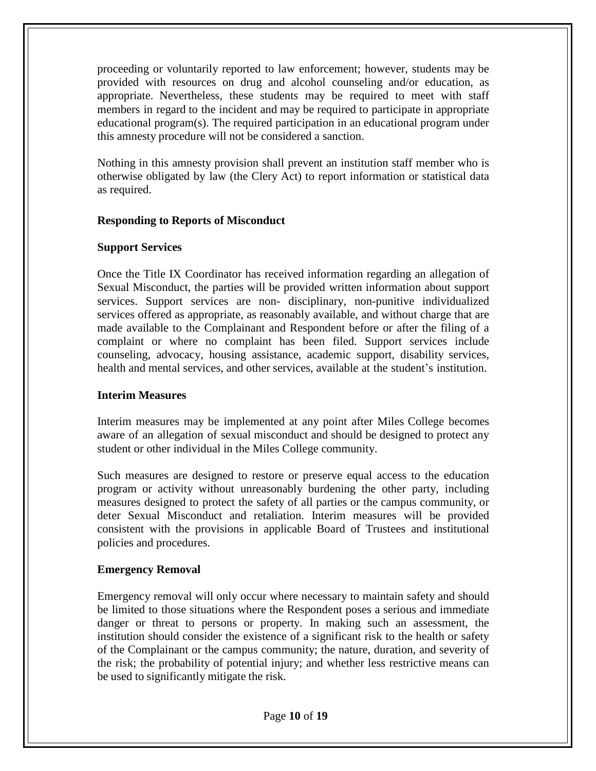proceeding or voluntarily reported to law enforcement; however, students may be provided with resources on drug and alcohol counseling and/or education, as appropriate. Nevertheless, these students may be required to meet with staff members in regard to the incident and may be required to participate in appropriate educational program(s). The required participation in an educational program under this amnesty procedure will not be considered a sanction.

Nothing in this amnesty provision shall prevent an institution staff member who is otherwise obligated by law (the Clery Act) to report information or statistical data as required.

#### **Responding to Reports of Misconduct**

#### **Support Services**

Once the Title IX Coordinator has received information regarding an allegation of Sexual Misconduct, the parties will be provided written information about support services. Support services are non- disciplinary, non-punitive individualized services offered as appropriate, as reasonably available, and without charge that are made available to the Complainant and Respondent before or after the filing of a complaint or where no complaint has been filed. Support services include counseling, advocacy, housing assistance, academic support, disability services, health and mental services, and other services, available at the student's institution.

### **Interim Measures**

Interim measures may be implemented at any point after Miles College becomes aware of an allegation of sexual misconduct and should be designed to protect any student or other individual in the Miles College community.

Such measures are designed to restore or preserve equal access to the education program or activity without unreasonably burdening the other party, including measures designed to protect the safety of all parties or the campus community, or deter Sexual Misconduct and retaliation. Interim measures will be provided consistent with the provisions in applicable Board of Trustees and institutional policies and procedures.

### **Emergency Removal**

Emergency removal will only occur where necessary to maintain safety and should be limited to those situations where the Respondent poses a serious and immediate danger or threat to persons or property. In making such an assessment, the institution should consider the existence of a significant risk to the health or safety of the Complainant or the campus community; the nature, duration, and severity of the risk; the probability of potential injury; and whether less restrictive means can be used to significantly mitigate the risk.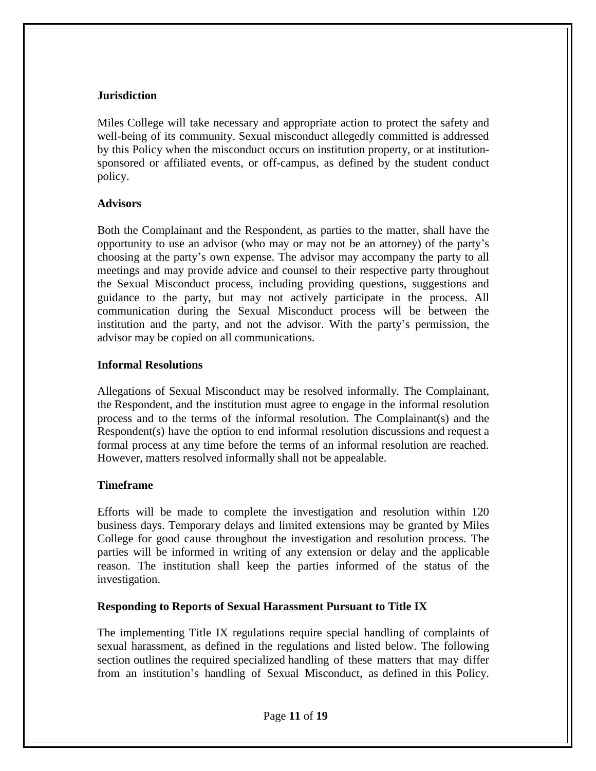#### **Jurisdiction**

Miles College will take necessary and appropriate action to protect the safety and well-being of its community. Sexual misconduct allegedly committed is addressed by this Policy when the misconduct occurs on institution property, or at institutionsponsored or affiliated events, or off-campus, as defined by the student conduct policy.

#### **Advisors**

Both the Complainant and the Respondent, as parties to the matter, shall have the opportunity to use an advisor (who may or may not be an attorney) of the party's choosing at the party's own expense. The advisor may accompany the party to all meetings and may provide advice and counsel to their respective party throughout the Sexual Misconduct process, including providing questions, suggestions and guidance to the party, but may not actively participate in the process. All communication during the Sexual Misconduct process will be between the institution and the party, and not the advisor. With the party's permission, the advisor may be copied on all communications.

#### **Informal Resolutions**

Allegations of Sexual Misconduct may be resolved informally. The Complainant, the Respondent, and the institution must agree to engage in the informal resolution process and to the terms of the informal resolution. The Complainant(s) and the Respondent(s) have the option to end informal resolution discussions and request a formal process at any time before the terms of an informal resolution are reached. However, matters resolved informally shall not be appealable.

### **Timeframe**

Efforts will be made to complete the investigation and resolution within 120 business days. Temporary delays and limited extensions may be granted by Miles College for good cause throughout the investigation and resolution process. The parties will be informed in writing of any extension or delay and the applicable reason. The institution shall keep the parties informed of the status of the investigation.

### **Responding to Reports of Sexual Harassment Pursuant to Title IX**

The implementing Title IX regulations require special handling of complaints of sexual harassment, as defined in the regulations and listed below. The following section outlines the required specialized handling of these matters that may differ from an institution's handling of Sexual Misconduct, as defined in this Policy.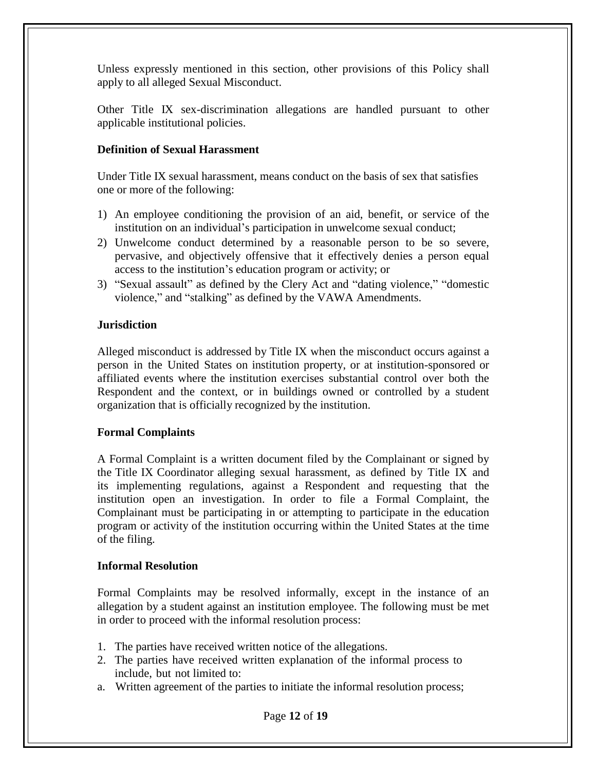Unless expressly mentioned in this section, other provisions of this Policy shall apply to all alleged Sexual Misconduct.

Other Title IX sex-discrimination allegations are handled pursuant to other applicable institutional policies.

# **Definition of Sexual Harassment**

Under Title IX sexual harassment, means conduct on the basis of sex that satisfies one or more of the following:

- 1) An employee conditioning the provision of an aid, benefit, or service of the institution on an individual's participation in unwelcome sexual conduct;
- 2) Unwelcome conduct determined by a reasonable person to be so severe, pervasive, and objectively offensive that it effectively denies a person equal access to the institution's education program or activity; or
- 3) "Sexual assault" as defined by the Clery Act and "dating violence," "domestic violence," and "stalking" as defined by the VAWA Amendments.

# **Jurisdiction**

Alleged misconduct is addressed by Title IX when the misconduct occurs against a person in the United States on institution property, or at institution-sponsored or affiliated events where the institution exercises substantial control over both the Respondent and the context, or in buildings owned or controlled by a student organization that is officially recognized by the institution.

# **Formal Complaints**

A Formal Complaint is a written document filed by the Complainant or signed by the Title IX Coordinator alleging sexual harassment, as defined by Title IX and its implementing regulations, against a Respondent and requesting that the institution open an investigation. In order to file a Formal Complaint, the Complainant must be participating in or attempting to participate in the education program or activity of the institution occurring within the United States at the time of the filing.

### **Informal Resolution**

Formal Complaints may be resolved informally, except in the instance of an allegation by a student against an institution employee. The following must be met in order to proceed with the informal resolution process:

- 1. The parties have received written notice of the allegations.
- 2. The parties have received written explanation of the informal process to include, but not limited to:
- a. Written agreement of the parties to initiate the informal resolution process;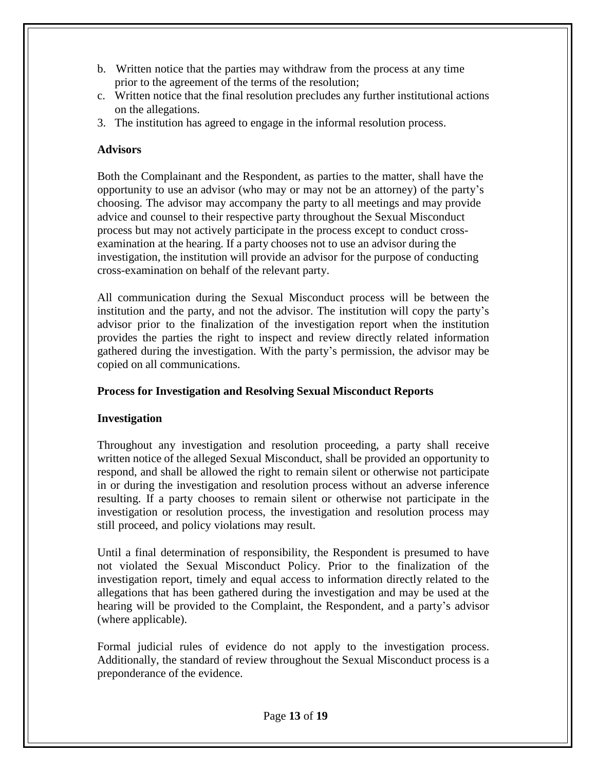- b. Written notice that the parties may withdraw from the process at any time prior to the agreement of the terms of the resolution;
- c. Written notice that the final resolution precludes any further institutional actions on the allegations.
- 3. The institution has agreed to engage in the informal resolution process.

### **Advisors**

Both the Complainant and the Respondent, as parties to the matter, shall have the opportunity to use an advisor (who may or may not be an attorney) of the party's choosing. The advisor may accompany the party to all meetings and may provide advice and counsel to their respective party throughout the Sexual Misconduct process but may not actively participate in the process except to conduct crossexamination at the hearing. If a party chooses not to use an advisor during the investigation, the institution will provide an advisor for the purpose of conducting cross-examination on behalf of the relevant party.

All communication during the Sexual Misconduct process will be between the institution and the party, and not the advisor. The institution will copy the party's advisor prior to the finalization of the investigation report when the institution provides the parties the right to inspect and review directly related information gathered during the investigation. With the party's permission, the advisor may be copied on all communications.

# **Process for Investigation and Resolving Sexual Misconduct Reports**

# **Investigation**

Throughout any investigation and resolution proceeding, a party shall receive written notice of the alleged Sexual Misconduct, shall be provided an opportunity to respond, and shall be allowed the right to remain silent or otherwise not participate in or during the investigation and resolution process without an adverse inference resulting. If a party chooses to remain silent or otherwise not participate in the investigation or resolution process, the investigation and resolution process may still proceed, and policy violations may result.

Until a final determination of responsibility, the Respondent is presumed to have not violated the Sexual Misconduct Policy. Prior to the finalization of the investigation report, timely and equal access to information directly related to the allegations that has been gathered during the investigation and may be used at the hearing will be provided to the Complaint, the Respondent, and a party's advisor (where applicable).

Formal judicial rules of evidence do not apply to the investigation process. Additionally, the standard of review throughout the Sexual Misconduct process is a preponderance of the evidence.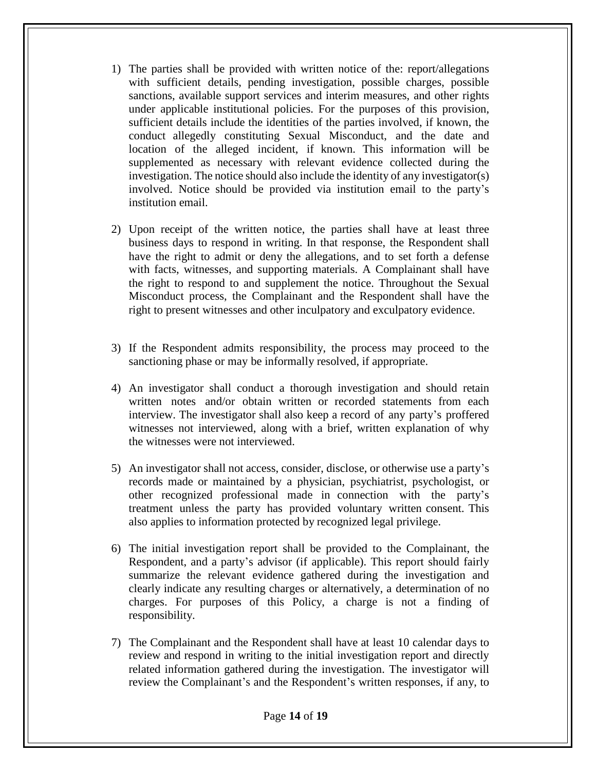- 1) The parties shall be provided with written notice of the: report/allegations with sufficient details, pending investigation, possible charges, possible sanctions, available support services and interim measures, and other rights under applicable institutional policies. For the purposes of this provision, sufficient details include the identities of the parties involved, if known, the conduct allegedly constituting Sexual Misconduct, and the date and location of the alleged incident, if known. This information will be supplemented as necessary with relevant evidence collected during the investigation. The notice should also include the identity of any investigator(s) involved. Notice should be provided via institution email to the party's institution email.
- 2) Upon receipt of the written notice, the parties shall have at least three business days to respond in writing. In that response, the Respondent shall have the right to admit or deny the allegations, and to set forth a defense with facts, witnesses, and supporting materials. A Complainant shall have the right to respond to and supplement the notice. Throughout the Sexual Misconduct process, the Complainant and the Respondent shall have the right to present witnesses and other inculpatory and exculpatory evidence.
- 3) If the Respondent admits responsibility, the process may proceed to the sanctioning phase or may be informally resolved, if appropriate.
- 4) An investigator shall conduct a thorough investigation and should retain written notes and/or obtain written or recorded statements from each interview. The investigator shall also keep a record of any party's proffered witnesses not interviewed, along with a brief, written explanation of why the witnesses were not interviewed.
- 5) An investigator shall not access, consider, disclose, or otherwise use a party's records made or maintained by a physician, psychiatrist, psychologist, or other recognized professional made in connection with the party's treatment unless the party has provided voluntary written consent. This also applies to information protected by recognized legal privilege.
- 6) The initial investigation report shall be provided to the Complainant, the Respondent, and a party's advisor (if applicable). This report should fairly summarize the relevant evidence gathered during the investigation and clearly indicate any resulting charges or alternatively, a determination of no charges. For purposes of this Policy, a charge is not a finding of responsibility.
- 7) The Complainant and the Respondent shall have at least 10 calendar days to review and respond in writing to the initial investigation report and directly related information gathered during the investigation. The investigator will review the Complainant's and the Respondent's written responses, if any, to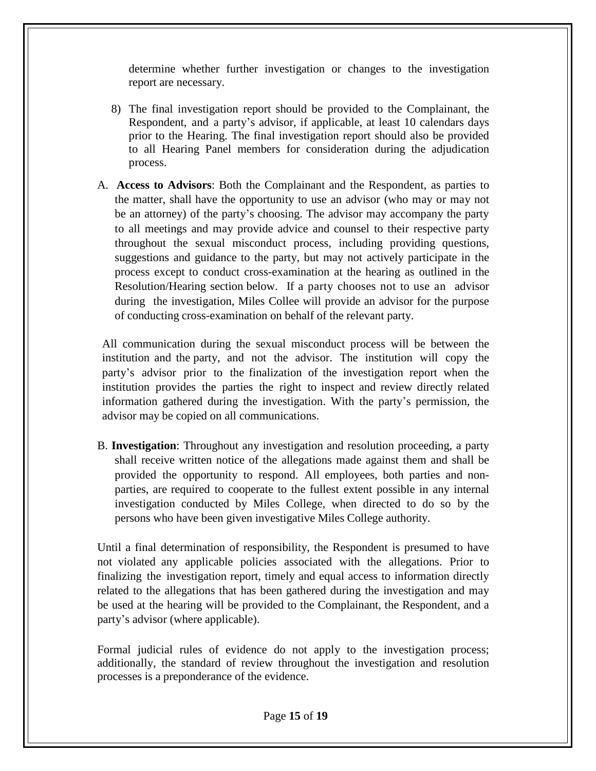determine whether further investigation or changes to the investigation report are necessary.

- 8) The final investigation report should be provided to the Complainant, the Respondent, and a party's advisor, if applicable, at least 10 calendars days prior to the Hearing. The final investigation report should also be provided to all Hearing Panel members for consideration during the adjudication process.
- A. **Access to Advisors**: Both the Complainant and the Respondent, as parties to the matter, shall have the opportunity to use an advisor (who may or may not be an attorney) of the party's choosing. The advisor may accompany the party to all meetings and may provide advice and counsel to their respective party throughout the sexual misconduct process, including providing questions, suggestions and guidance to the party, but may not actively participate in the process except to conduct cross-examination at the hearing as outlined in the Resolution/Hearing section below. If a party chooses not to use an advisor during the investigation, Miles Collee will provide an advisor for the purpose of conducting cross-examination on behalf of the relevant party.

All communication during the sexual misconduct process will be between the institution and the party, and not the advisor. The institution will copy the party's advisor prior to the finalization of the investigation report when the institution provides the parties the right to inspect and review directly related information gathered during the investigation. With the party's permission, the advisor may be copied on all communications.

B. **Investigation**: Throughout any investigation and resolution proceeding, a party shall receive written notice of the allegations made against them and shall be provided the opportunity to respond. All employees, both parties and nonparties, are required to cooperate to the fullest extent possible in any internal investigation conducted by Miles College, when directed to do so by the persons who have been given investigative Miles College authority.

Until a final determination of responsibility, the Respondent is presumed to have not violated any applicable policies associated with the allegations. Prior to finalizing the investigation report, timely and equal access to information directly related to the allegations that has been gathered during the investigation and may be used at the hearing will be provided to the Complainant, the Respondent, and a party's advisor (where applicable).

Formal judicial rules of evidence do not apply to the investigation process; additionally, the standard of review throughout the investigation and resolution processes is a preponderance of the evidence.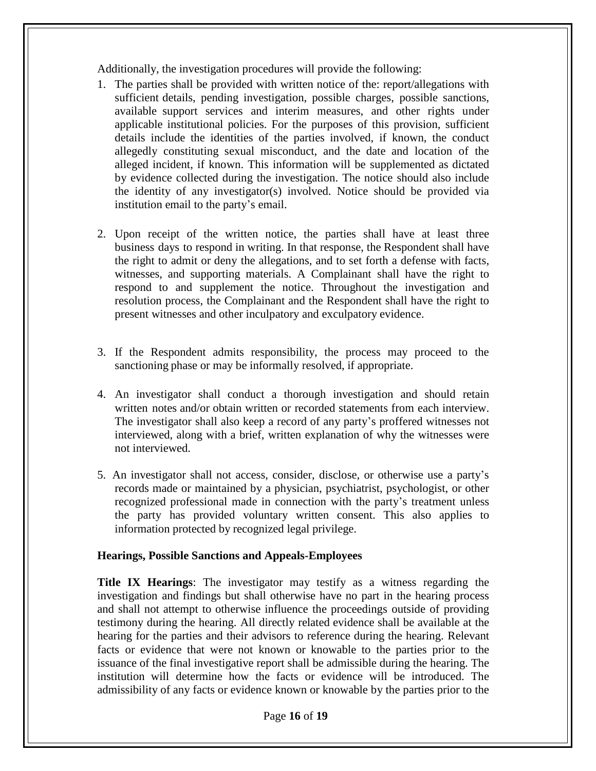Additionally, the investigation procedures will provide the following:

- 1. The parties shall be provided with written notice of the: report/allegations with sufficient details, pending investigation, possible charges, possible sanctions, available support services and interim measures, and other rights under applicable institutional policies. For the purposes of this provision, sufficient details include the identities of the parties involved, if known, the conduct allegedly constituting sexual misconduct, and the date and location of the alleged incident, if known. This information will be supplemented as dictated by evidence collected during the investigation. The notice should also include the identity of any investigator(s) involved. Notice should be provided via institution email to the party's email.
- 2. Upon receipt of the written notice, the parties shall have at least three business days to respond in writing. In that response, the Respondent shall have the right to admit or deny the allegations, and to set forth a defense with facts, witnesses, and supporting materials. A Complainant shall have the right to respond to and supplement the notice. Throughout the investigation and resolution process, the Complainant and the Respondent shall have the right to present witnesses and other inculpatory and exculpatory evidence.
- 3. If the Respondent admits responsibility, the process may proceed to the sanctioning phase or may be informally resolved, if appropriate.
- 4. An investigator shall conduct a thorough investigation and should retain written notes and/or obtain written or recorded statements from each interview. The investigator shall also keep a record of any party's proffered witnesses not interviewed, along with a brief, written explanation of why the witnesses were not interviewed.
- 5. An investigator shall not access, consider, disclose, or otherwise use a party's records made or maintained by a physician, psychiatrist, psychologist, or other recognized professional made in connection with the party's treatment unless the party has provided voluntary written consent. This also applies to information protected by recognized legal privilege.

#### **Hearings, Possible Sanctions and Appeals-Employees**

**Title IX Hearings**: The investigator may testify as a witness regarding the investigation and findings but shall otherwise have no part in the hearing process and shall not attempt to otherwise influence the proceedings outside of providing testimony during the hearing. All directly related evidence shall be available at the hearing for the parties and their advisors to reference during the hearing. Relevant facts or evidence that were not known or knowable to the parties prior to the issuance of the final investigative report shall be admissible during the hearing. The institution will determine how the facts or evidence will be introduced. The admissibility of any facts or evidence known or knowable by the parties prior to the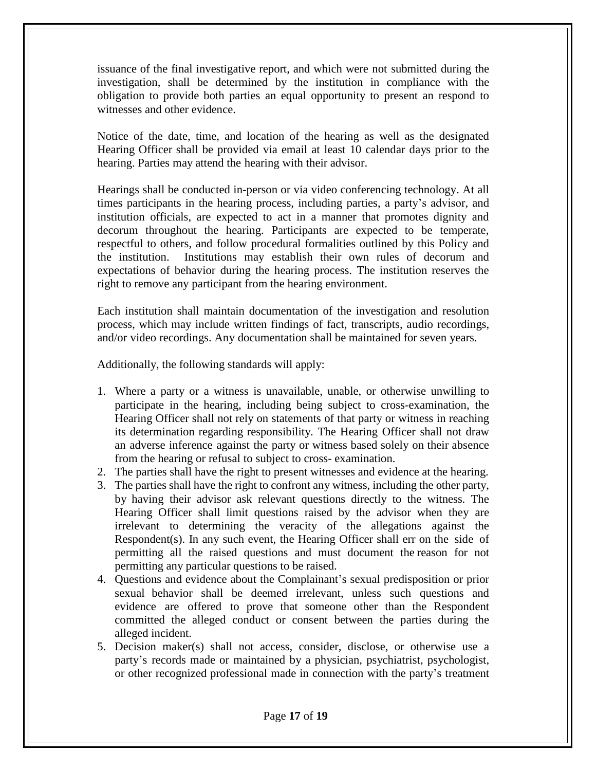issuance of the final investigative report, and which were not submitted during the investigation, shall be determined by the institution in compliance with the obligation to provide both parties an equal opportunity to present an respond to witnesses and other evidence.

Notice of the date, time, and location of the hearing as well as the designated Hearing Officer shall be provided via email at least 10 calendar days prior to the hearing. Parties may attend the hearing with their advisor.

Hearings shall be conducted in-person or via video conferencing technology. At all times participants in the hearing process, including parties, a party's advisor, and institution officials, are expected to act in a manner that promotes dignity and decorum throughout the hearing. Participants are expected to be temperate, respectful to others, and follow procedural formalities outlined by this Policy and the institution. Institutions may establish their own rules of decorum and expectations of behavior during the hearing process. The institution reserves the right to remove any participant from the hearing environment.

Each institution shall maintain documentation of the investigation and resolution process, which may include written findings of fact, transcripts, audio recordings, and/or video recordings. Any documentation shall be maintained for seven years.

Additionally, the following standards will apply:

- 1. Where a party or a witness is unavailable, unable, or otherwise unwilling to participate in the hearing, including being subject to cross-examination, the Hearing Officer shall not rely on statements of that party or witness in reaching its determination regarding responsibility. The Hearing Officer shall not draw an adverse inference against the party or witness based solely on their absence from the hearing or refusal to subject to cross- examination.
- 2. The parties shall have the right to present witnesses and evidence at the hearing.
- 3. The parties shall have the right to confront any witness, including the other party, by having their advisor ask relevant questions directly to the witness. The Hearing Officer shall limit questions raised by the advisor when they are irrelevant to determining the veracity of the allegations against the Respondent(s). In any such event, the Hearing Officer shall err on the side of permitting all the raised questions and must document the reason for not permitting any particular questions to be raised.
- 4. Questions and evidence about the Complainant's sexual predisposition or prior sexual behavior shall be deemed irrelevant, unless such questions and evidence are offered to prove that someone other than the Respondent committed the alleged conduct or consent between the parties during the alleged incident.
- 5. Decision maker(s) shall not access, consider, disclose, or otherwise use a party's records made or maintained by a physician, psychiatrist, psychologist, or other recognized professional made in connection with the party's treatment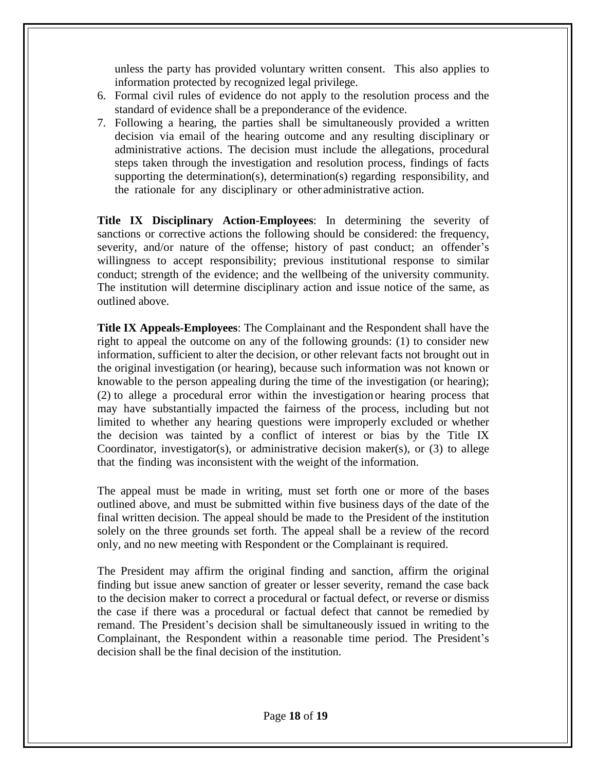unless the party has provided voluntary written consent. This also applies to information protected by recognized legal privilege.

- 6. Formal civil rules of evidence do not apply to the resolution process and the standard of evidence shall be a preponderance of the evidence.
- 7. Following a hearing, the parties shall be simultaneously provided a written decision via email of the hearing outcome and any resulting disciplinary or administrative actions. The decision must include the allegations, procedural steps taken through the investigation and resolution process, findings of facts supporting the determination(s), determination(s) regarding responsibility, and the rationale for any disciplinary or other administrative action.

**Title IX Disciplinary Action-Employees**: In determining the severity of sanctions or corrective actions the following should be considered: the frequency, severity, and/or nature of the offense; history of past conduct; an offender's willingness to accept responsibility; previous institutional response to similar conduct; strength of the evidence; and the wellbeing of the university community. The institution will determine disciplinary action and issue notice of the same, as outlined above.

**Title IX Appeals-Employees**: The Complainant and the Respondent shall have the right to appeal the outcome on any of the following grounds: (1) to consider new information, sufficient to alter the decision, or other relevant facts not brought out in the original investigation (or hearing), because such information was not known or knowable to the person appealing during the time of the investigation (or hearing); (2) to allege a procedural error within the investigation or hearing process that may have substantially impacted the fairness of the process, including but not limited to whether any hearing questions were improperly excluded or whether the decision was tainted by a conflict of interest or bias by the Title IX Coordinator, investigator(s), or administrative decision maker(s), or (3) to allege that the finding was inconsistent with the weight of the information.

The appeal must be made in writing, must set forth one or more of the bases outlined above, and must be submitted within five business days of the date of the final written decision. The appeal should be made to the President of the institution solely on the three grounds set forth. The appeal shall be a review of the record only, and no new meeting with Respondent or the Complainant is required.

The President may affirm the original finding and sanction, affirm the original finding but issue anew sanction of greater or lesser severity, remand the case back to the decision maker to correct a procedural or factual defect, or reverse or dismiss the case if there was a procedural or factual defect that cannot be remedied by remand. The President's decision shall be simultaneously issued in writing to the Complainant, the Respondent within a reasonable time period. The President's decision shall be the final decision of the institution.